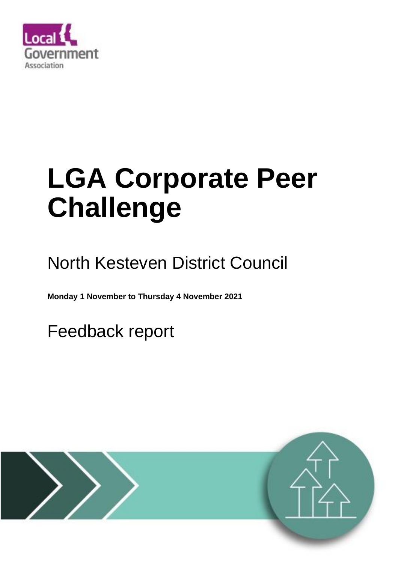

# **LGA Corporate Peer Challenge**

## North Kesteven District Council

**Monday 1 November to Thursday 4 November 2021** 

Feedback report

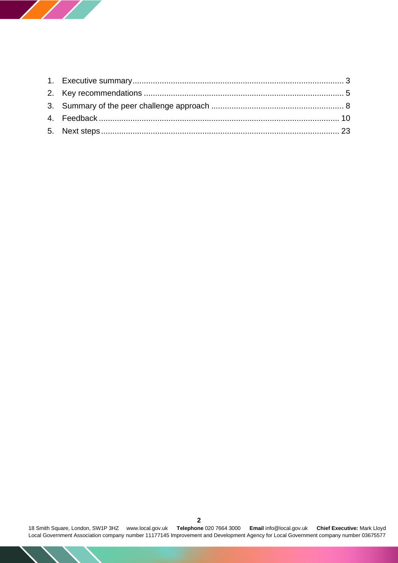

18 Smith Square, London, SW1P 3HZ [www.local.gov.uk](http://www.local.gov.uk/) **Telephone** 020 7664 3000 **Email** [info@local.gov.uk](mailto:info@local.gov.uk) **Chief Executive:** Mark Lloyd Local Government Association company number 11177145 Improvement and Development Agency for Local Government company number 03675577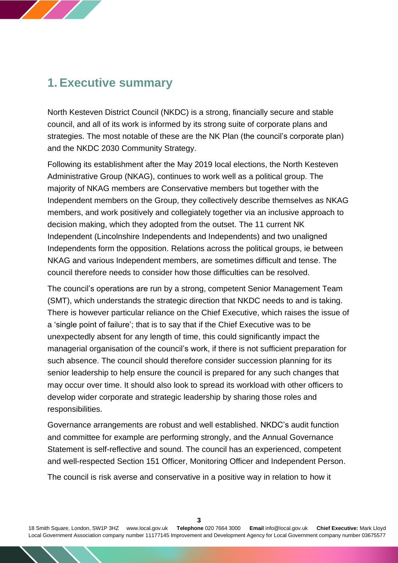## <span id="page-2-0"></span>**1. Executive summary**

North Kesteven District Council (NKDC) is a strong, financially secure and stable council, and all of its work is informed by its strong suite of corporate plans and strategies. The most notable of these are the NK Plan (the council's corporate plan) and the NKDC 2030 Community Strategy.

Following its establishment after the May 2019 local elections, the North Kesteven Administrative Group (NKAG), continues to work well as a political group. The majority of NKAG members are Conservative members but together with the Independent members on the Group, they collectively describe themselves as NKAG members, and work positively and collegiately together via an inclusive approach to decision making, which they adopted from the outset. The 11 current NK Independent (Lincolnshire Independents and Independents) and two unaligned Independents form the opposition. Relations across the political groups, ie between NKAG and various Independent members, are sometimes difficult and tense. The council therefore needs to consider how those difficulties can be resolved.

The council's operations are run by a strong, competent Senior Management Team (SMT), which understands the strategic direction that NKDC needs to and is taking. There is however particular reliance on the Chief Executive, which raises the issue of a 'single point of failure'; that is to say that if the Chief Executive was to be unexpectedly absent for any length of time, this could significantly impact the managerial organisation of the council's work, if there is not sufficient preparation for such absence. The council should therefore consider succession planning for its senior leadership to help ensure the council is prepared for any such changes that may occur over time. It should also look to spread its workload with other officers to develop wider corporate and strategic leadership by sharing those roles and responsibilities.

Governance arrangements are robust and well established. NKDC's audit function and committee for example are performing strongly, and the Annual Governance Statement is self-reflective and sound. The council has an experienced, competent and well-respected Section 151 Officer, Monitoring Officer and Independent Person.

The council is risk averse and conservative in a positive way in relation to how it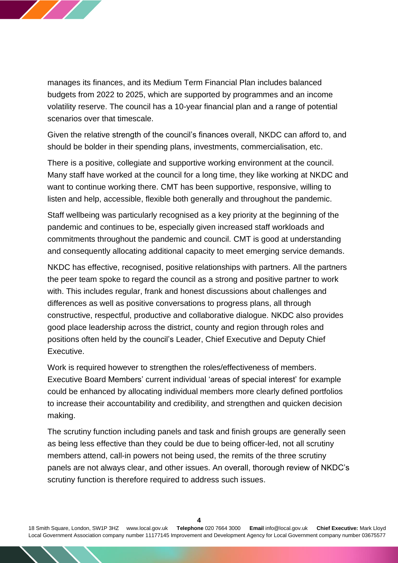

manages its finances, and its Medium Term Financial Plan includes balanced budgets from 2022 to 2025, which are supported by programmes and an income volatility reserve. The council has a 10-year financial plan and a range of potential scenarios over that timescale.

Given the relative strength of the council's finances overall, NKDC can afford to, and should be bolder in their spending plans, investments, commercialisation, etc.

There is a positive, collegiate and supportive working environment at the council. Many staff have worked at the council for a long time, they like working at NKDC and want to continue working there. CMT has been supportive, responsive, willing to listen and help, accessible, flexible both generally and throughout the pandemic.

Staff wellbeing was particularly recognised as a key priority at the beginning of the pandemic and continues to be, especially given increased staff workloads and commitments throughout the pandemic and council. CMT is good at understanding and consequently allocating additional capacity to meet emerging service demands.

NKDC has effective, recognised, positive relationships with partners. All the partners the peer team spoke to regard the council as a strong and positive partner to work with. This includes regular, frank and honest discussions about challenges and differences as well as positive conversations to progress plans, all through constructive, respectful, productive and collaborative dialogue. NKDC also provides good place leadership across the district, county and region through roles and positions often held by the council's Leader, Chief Executive and Deputy Chief Executive.

Work is required however to strengthen the roles/effectiveness of members. Executive Board Members' current individual 'areas of special interest' for example could be enhanced by allocating individual members more clearly defined portfolios to increase their accountability and credibility, and strengthen and quicken decision making.

The scrutiny function including panels and task and finish groups are generally seen as being less effective than they could be due to being officer-led, not all scrutiny members attend, call-in powers not being used, the remits of the three scrutiny panels are not always clear, and other issues. An overall, thorough review of NKDC's scrutiny function is therefore required to address such issues.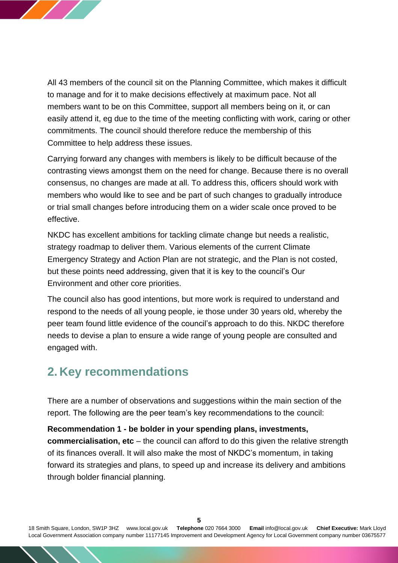

All 43 members of the council sit on the Planning Committee, which makes it difficult to manage and for it to make decisions effectively at maximum pace. Not all members want to be on this Committee, support all members being on it, or can easily attend it, eg due to the time of the meeting conflicting with work, caring or other commitments. The council should therefore reduce the membership of this Committee to help address these issues.

Carrying forward any changes with members is likely to be difficult because of the contrasting views amongst them on the need for change. Because there is no overall consensus, no changes are made at all. To address this, officers should work with members who would like to see and be part of such changes to gradually introduce or trial small changes before introducing them on a wider scale once proved to be effective.

NKDC has excellent ambitions for tackling climate change but needs a realistic, strategy roadmap to deliver them. Various elements of the current Climate Emergency Strategy and Action Plan are not strategic, and the Plan is not costed, but these points need addressing, given that it is key to the council's Our Environment and other core priorities.

The council also has good intentions, but more work is required to understand and respond to the needs of all young people, ie those under 30 years old, whereby the peer team found little evidence of the council's approach to do this. NKDC therefore needs to devise a plan to ensure a wide range of young people are consulted and engaged with.

## <span id="page-4-0"></span>**2. Key recommendations**

There are a number of observations and suggestions within the main section of the report. The following are the peer team's key recommendations to the council:

#### **Recommendation 1 - be bolder in your spending plans, investments,**

**commercialisation, etc** – the council can afford to do this given the relative strength of its finances overall. It will also make the most of NKDC's momentum, in taking forward its strategies and plans, to speed up and increase its delivery and ambitions through bolder financial planning.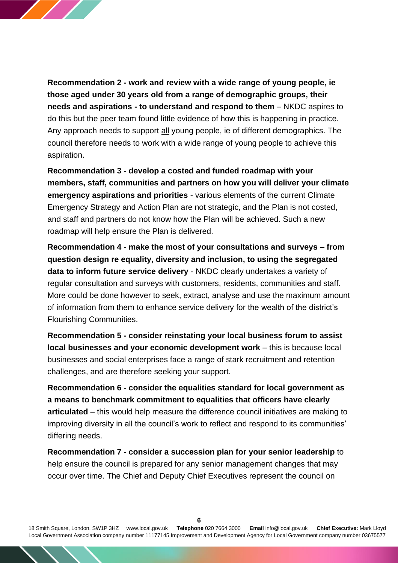

**Recommendation 2 - work and review with a wide range of young people, ie those aged under 30 years old from a range of demographic groups, their needs and aspirations - to understand and respond to them** – NKDC aspires to do this but the peer team found little evidence of how this is happening in practice. Any approach needs to support all young people, ie of different demographics. The council therefore needs to work with a wide range of young people to achieve this aspiration.

**Recommendation 3 - develop a costed and funded roadmap with your members, staff, communities and partners on how you will deliver your climate emergency aspirations and priorities** - various elements of the current Climate Emergency Strategy and Action Plan are not strategic, and the Plan is not costed, and staff and partners do not know how the Plan will be achieved. Such a new roadmap will help ensure the Plan is delivered.

**Recommendation 4 - make the most of your consultations and surveys – from question design re equality, diversity and inclusion, to using the segregated data to inform future service delivery** - NKDC clearly undertakes a variety of regular consultation and surveys with customers, residents, communities and staff. More could be done however to seek, extract, analyse and use the maximum amount of information from them to enhance service delivery for the wealth of the district's Flourishing Communities.

**Recommendation 5 - consider reinstating your local business forum to assist local businesses and your economic development work** – this is because local businesses and social enterprises face a range of stark recruitment and retention challenges, and are therefore seeking your support.

**Recommendation 6 - consider the equalities standard for local government as a means to benchmark commitment to equalities that officers have clearly articulated** – this would help measure the difference council initiatives are making to improving diversity in all the council's work to reflect and respond to its communities' differing needs.

**Recommendation 7 - consider a succession plan for your senior leadership** to help ensure the council is prepared for any senior management changes that may occur over time. The Chief and Deputy Chief Executives represent the council on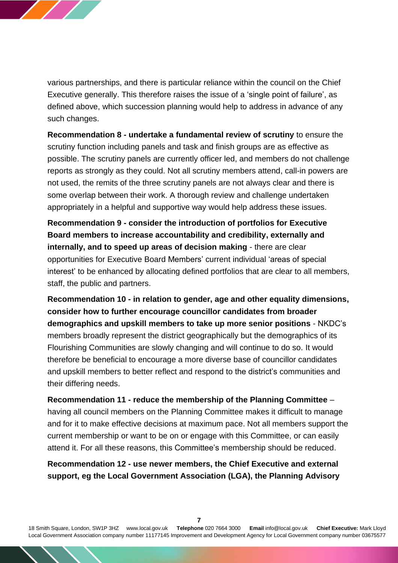

various partnerships, and there is particular reliance within the council on the Chief Executive generally. This therefore raises the issue of a 'single point of failure', as defined above, which succession planning would help to address in advance of any such changes.

**Recommendation 8 - undertake a fundamental review of scrutiny** to ensure the scrutiny function including panels and task and finish groups are as effective as possible. The scrutiny panels are currently officer led, and members do not challenge reports as strongly as they could. Not all scrutiny members attend, call-in powers are not used, the remits of the three scrutiny panels are not always clear and there is some overlap between their work. A thorough review and challenge undertaken appropriately in a helpful and supportive way would help address these issues.

**Recommendation 9 - consider the introduction of portfolios for Executive Board members to increase accountability and credibility, externally and internally, and to speed up areas of decision making** - there are clear opportunities for Executive Board Members' current individual 'areas of special interest' to be enhanced by allocating defined portfolios that are clear to all members, staff, the public and partners.

**Recommendation 10 - in relation to gender, age and other equality dimensions, consider how to further encourage councillor candidates from broader demographics and upskill members to take up more senior positions** - NKDC's members broadly represent the district geographically but the demographics of its Flourishing Communities are slowly changing and will continue to do so. It would therefore be beneficial to encourage a more diverse base of councillor candidates and upskill members to better reflect and respond to the district's communities and their differing needs.

**Recommendation 11 - reduce the membership of the Planning Committee** – having all council members on the Planning Committee makes it difficult to manage and for it to make effective decisions at maximum pace. Not all members support the current membership or want to be on or engage with this Committee, or can easily attend it. For all these reasons, this Committee's membership should be reduced.

**Recommendation 12 - use newer members, the Chief Executive and external support, eg the Local Government Association (LGA), the Planning Advisory**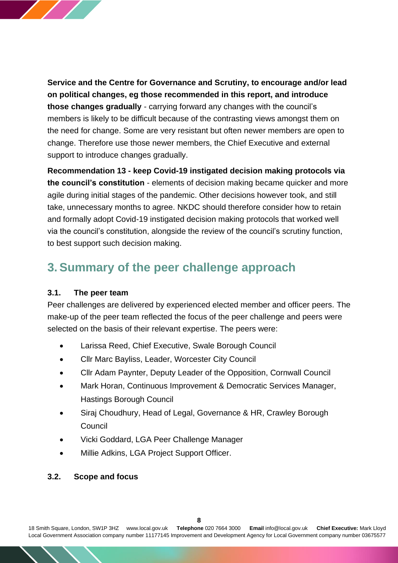

**Service and the Centre for Governance and Scrutiny, to encourage and/or lead on political changes, eg those recommended in this report, and introduce those changes gradually** - carrying forward any changes with the council's members is likely to be difficult because of the contrasting views amongst them on the need for change. Some are very resistant but often newer members are open to change. Therefore use those newer members, the Chief Executive and external support to introduce changes gradually.

**Recommendation 13 - keep Covid-19 instigated decision making protocols via the council's constitution** - elements of decision making became quicker and more agile during initial stages of the pandemic. Other decisions however took, and still take, unnecessary months to agree. NKDC should therefore consider how to retain and formally adopt Covid-19 instigated decision making protocols that worked well via the council's constitution, alongside the review of the council's scrutiny function, to best support such decision making.

## <span id="page-7-0"></span>**3. Summary of the peer challenge approach**

#### **3.1. The peer team**

Peer challenges are delivered by experienced elected member and officer peers. The make-up of the peer team reflected the focus of the peer challenge and peers were selected on the basis of their relevant expertise. The peers were:

- Larissa Reed, Chief Executive, Swale Borough Council
- Cllr Marc Bayliss, Leader, Worcester City Council
- Cllr Adam Paynter, Deputy Leader of the Opposition, Cornwall Council
- Mark Horan, Continuous Improvement & Democratic Services Manager, Hastings Borough Council
- Siraj Choudhury, Head of Legal, Governance & HR, Crawley Borough Council
- Vicki Goddard, LGA Peer Challenge Manager
- Millie Adkins, LGA Project Support Officer.

## **3.2. Scope and focus**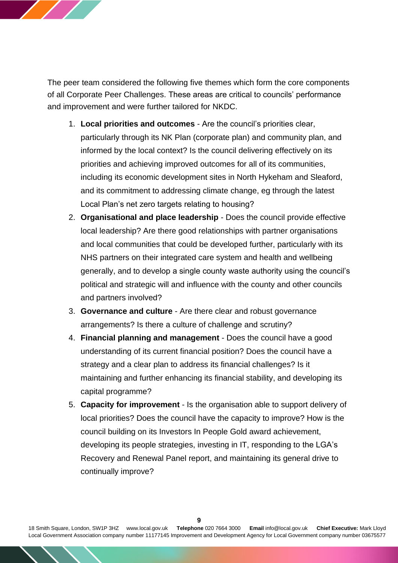

The peer team considered the following five themes which form the core components of all Corporate Peer Challenges. These areas are critical to councils' performance and improvement and were further tailored for NKDC.

- 1. **Local priorities and outcomes** Are the council's priorities clear, particularly through its NK Plan (corporate plan) and community plan, and informed by the local context? Is the council delivering effectively on its priorities and achieving improved outcomes for all of its communities, including its economic development sites in North Hykeham and Sleaford, and its commitment to addressing climate change, eg through the latest Local Plan's net zero targets relating to housing?
- 2. **Organisational and place leadership** Does the council provide effective local leadership? Are there good relationships with partner organisations and local communities that could be developed further, particularly with its NHS partners on their integrated care system and health and wellbeing generally, and to develop a single county waste authority using the council's political and strategic will and influence with the county and other councils and partners involved?
- 3. **Governance and culture** Are there clear and robust governance arrangements? Is there a culture of challenge and scrutiny?
- 4. **Financial planning and management** Does the council have a good understanding of its current financial position? Does the council have a strategy and a clear plan to address its financial challenges? Is it maintaining and further enhancing its financial stability, and developing its capital programme?
- 5. **Capacity for improvement** Is the organisation able to support delivery of local priorities? Does the council have the capacity to improve? How is the council building on its Investors In People Gold award achievement, developing its people strategies, investing in IT, responding to the LGA's Recovery and Renewal Panel report, and maintaining its general drive to continually improve?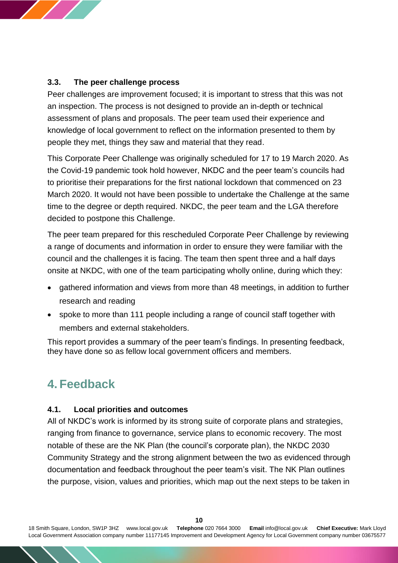

Peer challenges are improvement focused; it is important to stress that this was not an inspection. The process is not designed to provide an in-depth or technical assessment of plans and proposals. The peer team used their experience and knowledge of local government to reflect on the information presented to them by people they met, things they saw and material that they read.

This Corporate Peer Challenge was originally scheduled for 17 to 19 March 2020. As the Covid-19 pandemic took hold however, NKDC and the peer team's councils had to prioritise their preparations for the first national lockdown that commenced on 23 March 2020. It would not have been possible to undertake the Challenge at the same time to the degree or depth required. NKDC, the peer team and the LGA therefore decided to postpone this Challenge.

The peer team prepared for this rescheduled Corporate Peer Challenge by reviewing a range of documents and information in order to ensure they were familiar with the council and the challenges it is facing. The team then spent three and a half days onsite at NKDC, with one of the team participating wholly online, during which they:

- gathered information and views from more than 48 meetings, in addition to further research and reading
- spoke to more than 111 people including a range of council staff together with members and external stakeholders.

This report provides a summary of the peer team's findings. In presenting feedback, they have done so as fellow local government officers and members.

## <span id="page-9-0"></span>**4. Feedback**

## **4.1. Local priorities and outcomes**

All of NKDC's work is informed by its strong suite of corporate plans and strategies, ranging from finance to governance, service plans to economic recovery. The most notable of these are the NK Plan (the council's corporate plan), the NKDC 2030 Community Strategy and the strong alignment between the two as evidenced through documentation and feedback throughout the peer team's visit. The NK Plan outlines the purpose, vision, values and priorities, which map out the next steps to be taken in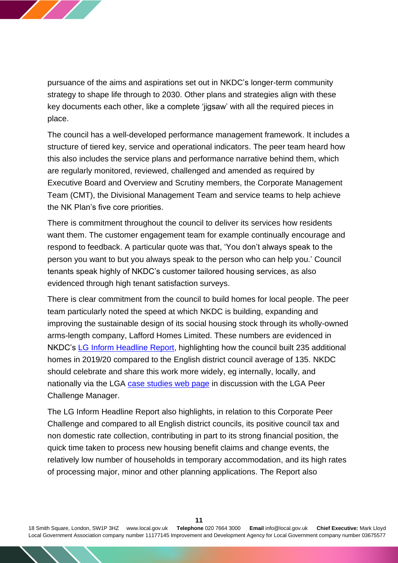

pursuance of the aims and aspirations set out in NKDC's longer-term community strategy to shape life through to 2030. Other plans and strategies align with these key documents each other, like a complete 'jigsaw' with all the required pieces in place.

The council has a well-developed performance management framework. It includes a structure of tiered key, service and operational indicators. The peer team heard how this also includes the service plans and performance narrative behind them, which are regularly monitored, reviewed, challenged and amended as required by Executive Board and Overview and Scrutiny members, the Corporate Management Team (CMT), the Divisional Management Team and service teams to help achieve the NK Plan's five core priorities.

There is commitment throughout the council to deliver its services how residents want them. The customer engagement team for example continually encourage and respond to feedback. A particular quote was that, 'You don't always speak to the person you want to but you always speak to the person who can help you.' Council tenants speak highly of NKDC's customer tailored housing services, as also evidenced through high tenant satisfaction surveys.

There is clear commitment from the council to build homes for local people. The peer team particularly noted the speed at which NKDC is building, expanding and improving the sustainable design of its social housing stock through its wholly-owned arms-length company, Lafford Homes Limited. These numbers are evidenced in NKDC's [LG Inform Headline Report,](https://lginform.local.gov.uk/reports/view/lga-research/lga-research-report-headline-report-dashboards?mod-area=E07000139&mod-group=AllDistrictsInCountry_England&mod-type=namedComparisonGroup) highlighting how the council built 235 additional homes in 2019/20 compared to the English district council average of 135. NKDC should celebrate and share this work more widely, eg internally, locally, and nationally via the LGA [case studies web page](https://www.local.gov.uk/case-studies) in discussion with the LGA Peer Challenge Manager.

The LG Inform Headline Report also highlights, in relation to this Corporate Peer Challenge and compared to all English district councils, its positive council tax and non domestic rate collection, contributing in part to its strong financial position, the quick time taken to process new housing benefit claims and change events, the relatively low number of households in temporary accommodation, and its high rates of processing major, minor and other planning applications. The Report also

18 Smith Square, London, SW1P 3HZ [www.local.gov.uk](http://www.local.gov.uk/) **Telephone** 020 7664 3000 **Email** [info@local.gov.uk](mailto:info@local.gov.uk) **Chief Executive:** Mark Lloyd Local Government Association company number 11177145 Improvement and Development Agency for Local Government company number 03675577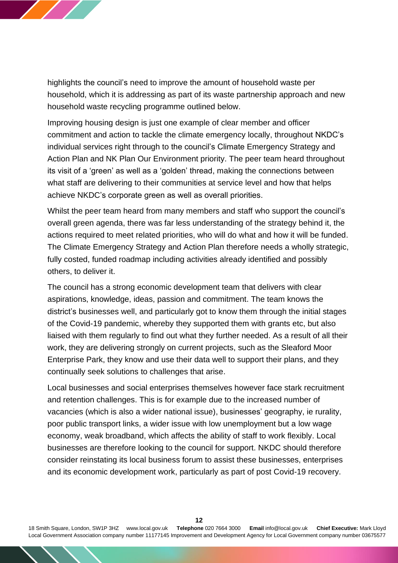

highlights the council's need to improve the amount of household waste per household, which it is addressing as part of its waste partnership approach and new household waste recycling programme outlined below.

Improving housing design is just one example of clear member and officer commitment and action to tackle the climate emergency locally, throughout NKDC's individual services right through to the council's Climate Emergency Strategy and Action Plan and NK Plan Our Environment priority. The peer team heard throughout its visit of a 'green' as well as a 'golden' thread, making the connections between what staff are delivering to their communities at service level and how that helps achieve NKDC's corporate green as well as overall priorities.

Whilst the peer team heard from many members and staff who support the council's overall green agenda, there was far less understanding of the strategy behind it, the actions required to meet related priorities, who will do what and how it will be funded. The Climate Emergency Strategy and Action Plan therefore needs a wholly strategic, fully costed, funded roadmap including activities already identified and possibly others, to deliver it.

The council has a strong economic development team that delivers with clear aspirations, knowledge, ideas, passion and commitment. The team knows the district's businesses well, and particularly got to know them through the initial stages of the Covid-19 pandemic, whereby they supported them with grants etc, but also liaised with them regularly to find out what they further needed. As a result of all their work, they are delivering strongly on current projects, such as the Sleaford Moor Enterprise Park, they know and use their data well to support their plans, and they continually seek solutions to challenges that arise.

Local businesses and social enterprises themselves however face stark recruitment and retention challenges. This is for example due to the increased number of vacancies (which is also a wider national issue), businesses' geography, ie rurality, poor public transport links, a wider issue with low unemployment but a low wage economy, weak broadband, which affects the ability of staff to work flexibly. Local businesses are therefore looking to the council for support. NKDC should therefore consider reinstating its local business forum to assist these businesses, enterprises and its economic development work, particularly as part of post Covid-19 recovery.

18 Smith Square, London, SW1P 3HZ [www.local.gov.uk](http://www.local.gov.uk/) **Telephone** 020 7664 3000 **Email** [info@local.gov.uk](mailto:info@local.gov.uk) **Chief Executive:** Mark Lloyd Local Government Association company number 11177145 Improvement and Development Agency for Local Government company number 03675577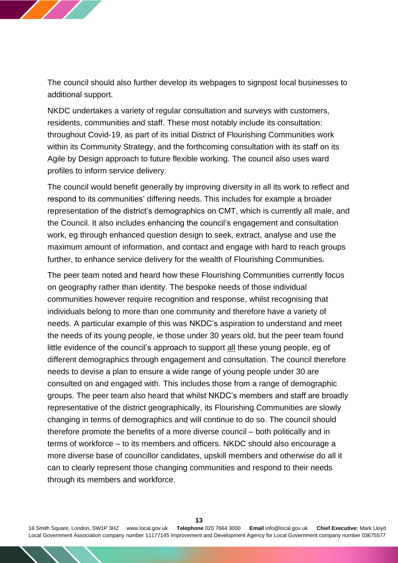

The council should also further develop its webpages to signpost local businesses to additional support.

NKDC undertakes a variety of regular consultation and surveys with customers, residents, communities and staff. These most notably include its consultation: throughout Covid-19, as part of its initial District of Flourishing Communities work within its Community Strategy, and the forthcoming consultation with its staff on its Agile by Design approach to future flexible working. The council also uses ward profiles to inform service delivery.

The council would benefit generally by improving diversity in all its work to reflect and respond to its communities' differing needs. This includes for example a broader representation of the district's demographics on CMT, which is currently all male, and the Council. It also includes enhancing the council's engagement and consultation work, eg through enhanced question design to seek, extract, analyse and use the maximum amount of information, and contact and engage with hard to reach groups further, to enhance service delivery for the wealth of Flourishing Communities.

The peer team noted and heard how these Flourishing Communities currently focus on geography rather than identity. The bespoke needs of those individual communities however require recognition and response, whilst recognising that individuals belong to more than one community and therefore have a variety of needs. A particular example of this was NKDC's aspiration to understand and meet the needs of its young people, ie those under 30 years old, but the peer team found little evidence of the council's approach to support all these young people, eg of different demographics through engagement and consultation. The council therefore needs to devise a plan to ensure a wide range of young people under 30 are consulted on and engaged with. This includes those from a range of demographic groups. The peer team also heard that whilst NKDC's members and staff are broadly representative of the district geographically, its Flourishing Communities are slowly changing in terms of demographics and will continue to do so. The council should therefore promote the benefits of a more diverse council – both politically and in terms of workforce – to its members and officers. NKDC should also encourage a more diverse base of councillor candidates, upskill members and otherwise do all it can to clearly represent those changing communities and respond to their needs through its members and workforce.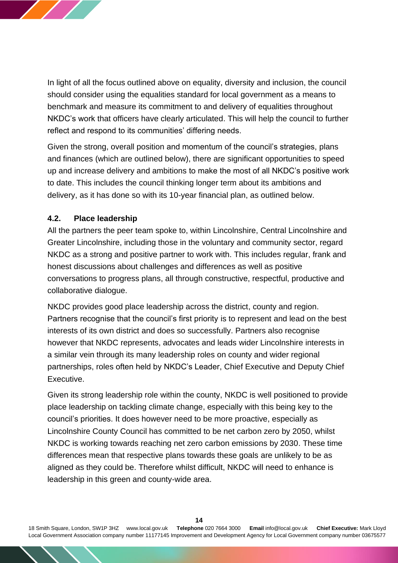

In light of all the focus outlined above on equality, diversity and inclusion, the council should consider using the equalities standard for local government as a means to benchmark and measure its commitment to and delivery of equalities throughout NKDC's work that officers have clearly articulated. This will help the council to further reflect and respond to its communities' differing needs.

Given the strong, overall position and momentum of the council's strategies, plans and finances (which are outlined below), there are significant opportunities to speed up and increase delivery and ambitions to make the most of all NKDC's positive work to date. This includes the council thinking longer term about its ambitions and delivery, as it has done so with its 10-year financial plan, as outlined below.

#### **4.2. Place leadership**

All the partners the peer team spoke to, within Lincolnshire, Central Lincolnshire and Greater Lincolnshire, including those in the voluntary and community sector, regard NKDC as a strong and positive partner to work with. This includes regular, frank and honest discussions about challenges and differences as well as positive conversations to progress plans, all through constructive, respectful, productive and collaborative dialogue.

NKDC provides good place leadership across the district, county and region. Partners recognise that the council's first priority is to represent and lead on the best interests of its own district and does so successfully. Partners also recognise however that NKDC represents, advocates and leads wider Lincolnshire interests in a similar vein through its many leadership roles on county and wider regional partnerships, roles often held by NKDC's Leader, Chief Executive and Deputy Chief Executive.

Given its strong leadership role within the county, NKDC is well positioned to provide place leadership on tackling climate change, especially with this being key to the council's priorities. It does however need to be more proactive, especially as Lincolnshire County Council has committed to be net carbon zero by 2050, whilst NKDC is working towards reaching net zero carbon emissions by 2030. These time differences mean that respective plans towards these goals are unlikely to be as aligned as they could be. Therefore whilst difficult, NKDC will need to enhance is leadership in this green and county-wide area.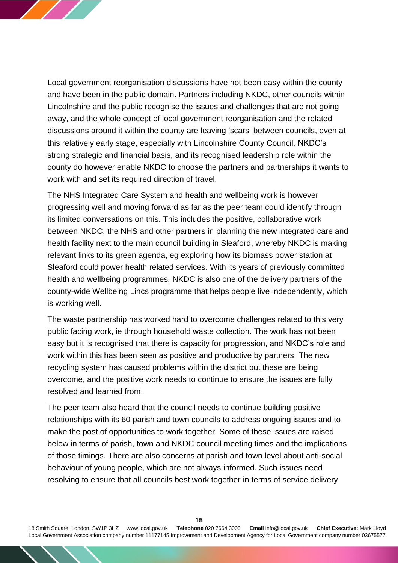

Local government reorganisation discussions have not been easy within the county and have been in the public domain. Partners including NKDC, other councils within Lincolnshire and the public recognise the issues and challenges that are not going away, and the whole concept of local government reorganisation and the related discussions around it within the county are leaving 'scars' between councils, even at this relatively early stage, especially with Lincolnshire County Council. NKDC's strong strategic and financial basis, and its recognised leadership role within the county do however enable NKDC to choose the partners and partnerships it wants to work with and set its required direction of travel.

The NHS Integrated Care System and health and wellbeing work is however progressing well and moving forward as far as the peer team could identify through its limited conversations on this. This includes the positive, collaborative work between NKDC, the NHS and other partners in planning the new integrated care and health facility next to the main council building in Sleaford, whereby NKDC is making relevant links to its green agenda, eg exploring how its biomass power station at Sleaford could power health related services. With its years of previously committed health and wellbeing programmes, NKDC is also one of the delivery partners of the county-wide Wellbeing Lincs programme that helps people live independently, which is working well.

The waste partnership has worked hard to overcome challenges related to this very public facing work, ie through household waste collection. The work has not been easy but it is recognised that there is capacity for progression, and NKDC's role and work within this has been seen as positive and productive by partners. The new recycling system has caused problems within the district but these are being overcome, and the positive work needs to continue to ensure the issues are fully resolved and learned from.

The peer team also heard that the council needs to continue building positive relationships with its 60 parish and town councils to address ongoing issues and to make the post of opportunities to work together. Some of these issues are raised below in terms of parish, town and NKDC council meeting times and the implications of those timings. There are also concerns at parish and town level about anti-social behaviour of young people, which are not always informed. Such issues need resolving to ensure that all councils best work together in terms of service delivery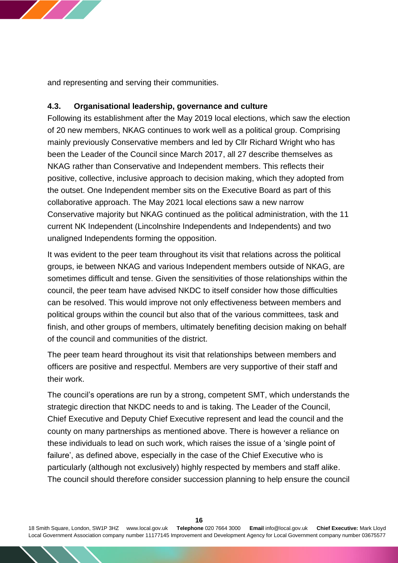

and representing and serving their communities.

## **4.3. Organisational leadership, governance and culture**

Following its establishment after the May 2019 local elections, which saw the election of 20 new members, NKAG continues to work well as a political group. Comprising mainly previously Conservative members and led by Cllr Richard Wright who has been the Leader of the Council since March 2017, all 27 describe themselves as NKAG rather than Conservative and Independent members. This reflects their positive, collective, inclusive approach to decision making, which they adopted from the outset. One Independent member sits on the Executive Board as part of this collaborative approach. The May 2021 local elections saw a new narrow Conservative majority but NKAG continued as the political administration, with the 11 current NK Independent (Lincolnshire Independents and Independents) and two unaligned Independents forming the opposition.

It was evident to the peer team throughout its visit that relations across the political groups, ie between NKAG and various Independent members outside of NKAG, are sometimes difficult and tense. Given the sensitivities of those relationships within the council, the peer team have advised NKDC to itself consider how those difficulties can be resolved. This would improve not only effectiveness between members and political groups within the council but also that of the various committees, task and finish, and other groups of members, ultimately benefiting decision making on behalf of the council and communities of the district.

The peer team heard throughout its visit that relationships between members and officers are positive and respectful. Members are very supportive of their staff and their work.

The council's operations are run by a strong, competent SMT, which understands the strategic direction that NKDC needs to and is taking. The Leader of the Council, Chief Executive and Deputy Chief Executive represent and lead the council and the county on many partnerships as mentioned above. There is however a reliance on these individuals to lead on such work, which raises the issue of a 'single point of failure', as defined above, especially in the case of the Chief Executive who is particularly (although not exclusively) highly respected by members and staff alike. The council should therefore consider succession planning to help ensure the council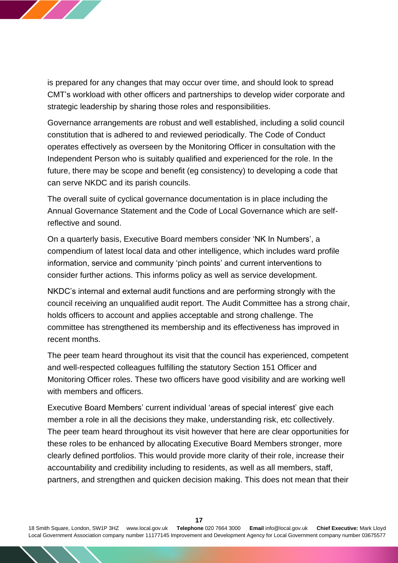

is prepared for any changes that may occur over time, and should look to spread CMT's workload with other officers and partnerships to develop wider corporate and strategic leadership by sharing those roles and responsibilities.

Governance arrangements are robust and well established, including a solid council constitution that is adhered to and reviewed periodically. The Code of Conduct operates effectively as overseen by the Monitoring Officer in consultation with the Independent Person who is suitably qualified and experienced for the role. In the future, there may be scope and benefit (eg consistency) to developing a code that can serve NKDC and its parish councils.

The overall suite of cyclical governance documentation is in place including the Annual Governance Statement and the Code of Local Governance which are selfreflective and sound.

On a quarterly basis, Executive Board members consider 'NK In Numbers', a compendium of latest local data and other intelligence, which includes ward profile information, service and community 'pinch points' and current interventions to consider further actions. This informs policy as well as service development.

NKDC's internal and external audit functions and are performing strongly with the council receiving an unqualified audit report. The Audit Committee has a strong chair, holds officers to account and applies acceptable and strong challenge. The committee has strengthened its membership and its effectiveness has improved in recent months.

The peer team heard throughout its visit that the council has experienced, competent and well-respected colleagues fulfilling the statutory Section 151 Officer and Monitoring Officer roles. These two officers have good visibility and are working well with members and officers.

Executive Board Members' current individual 'areas of special interest' give each member a role in all the decisions they make, understanding risk, etc collectively. The peer team heard throughout its visit however that here are clear opportunities for these roles to be enhanced by allocating Executive Board Members stronger, more clearly defined portfolios. This would provide more clarity of their role, increase their accountability and credibility including to residents, as well as all members, staff, partners, and strengthen and quicken decision making. This does not mean that their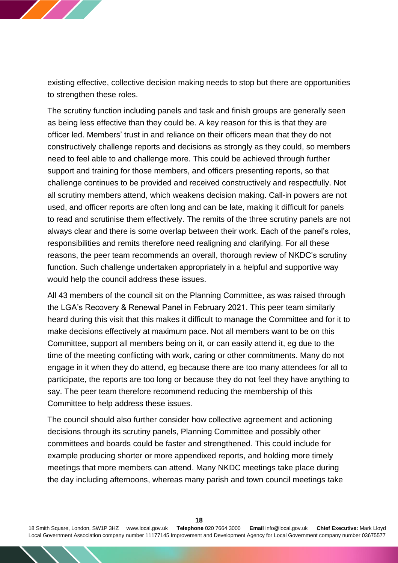

existing effective, collective decision making needs to stop but there are opportunities to strengthen these roles.

The scrutiny function including panels and task and finish groups are generally seen as being less effective than they could be. A key reason for this is that they are officer led. Members' trust in and reliance on their officers mean that they do not constructively challenge reports and decisions as strongly as they could, so members need to feel able to and challenge more. This could be achieved through further support and training for those members, and officers presenting reports, so that challenge continues to be provided and received constructively and respectfully. Not all scrutiny members attend, which weakens decision making. Call-in powers are not used, and officer reports are often long and can be late, making it difficult for panels to read and scrutinise them effectively. The remits of the three scrutiny panels are not always clear and there is some overlap between their work. Each of the panel's roles, responsibilities and remits therefore need realigning and clarifying. For all these reasons, the peer team recommends an overall, thorough review of NKDC's scrutiny function. Such challenge undertaken appropriately in a helpful and supportive way would help the council address these issues.

All 43 members of the council sit on the Planning Committee, as was raised through the LGA's Recovery & Renewal Panel in February 2021. This peer team similarly heard during this visit that this makes it difficult to manage the Committee and for it to make decisions effectively at maximum pace. Not all members want to be on this Committee, support all members being on it, or can easily attend it, eg due to the time of the meeting conflicting with work, caring or other commitments. Many do not engage in it when they do attend, eg because there are too many attendees for all to participate, the reports are too long or because they do not feel they have anything to say. The peer team therefore recommend reducing the membership of this Committee to help address these issues.

The council should also further consider how collective agreement and actioning decisions through its scrutiny panels, Planning Committee and possibly other committees and boards could be faster and strengthened. This could include for example producing shorter or more appendixed reports, and holding more timely meetings that more members can attend. Many NKDC meetings take place during the day including afternoons, whereas many parish and town council meetings take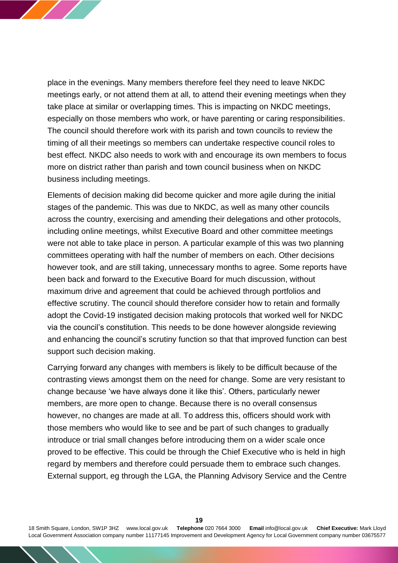

place in the evenings. Many members therefore feel they need to leave NKDC meetings early, or not attend them at all, to attend their evening meetings when they take place at similar or overlapping times. This is impacting on NKDC meetings, especially on those members who work, or have parenting or caring responsibilities. The council should therefore work with its parish and town councils to review the timing of all their meetings so members can undertake respective council roles to best effect. NKDC also needs to work with and encourage its own members to focus more on district rather than parish and town council business when on NKDC business including meetings.

Elements of decision making did become quicker and more agile during the initial stages of the pandemic. This was due to NKDC, as well as many other councils across the country, exercising and amending their delegations and other protocols, including online meetings, whilst Executive Board and other committee meetings were not able to take place in person. A particular example of this was two planning committees operating with half the number of members on each. Other decisions however took, and are still taking, unnecessary months to agree. Some reports have been back and forward to the Executive Board for much discussion, without maximum drive and agreement that could be achieved through portfolios and effective scrutiny. The council should therefore consider how to retain and formally adopt the Covid-19 instigated decision making protocols that worked well for NKDC via the council's constitution. This needs to be done however alongside reviewing and enhancing the council's scrutiny function so that that improved function can best support such decision making.

Carrying forward any changes with members is likely to be difficult because of the contrasting views amongst them on the need for change. Some are very resistant to change because 'we have always done it like this'. Others, particularly newer members, are more open to change. Because there is no overall consensus however, no changes are made at all. To address this, officers should work with those members who would like to see and be part of such changes to gradually introduce or trial small changes before introducing them on a wider scale once proved to be effective. This could be through the Chief Executive who is held in high regard by members and therefore could persuade them to embrace such changes. External support, eg through the LGA, the Planning Advisory Service and the Centre

18 Smith Square, London, SW1P 3HZ [www.local.gov.uk](http://www.local.gov.uk/) **Telephone** 020 7664 3000 **Email** [info@local.gov.uk](mailto:info@local.gov.uk) **Chief Executive:** Mark Lloyd Local Government Association company number 11177145 Improvement and Development Agency for Local Government company number 03675577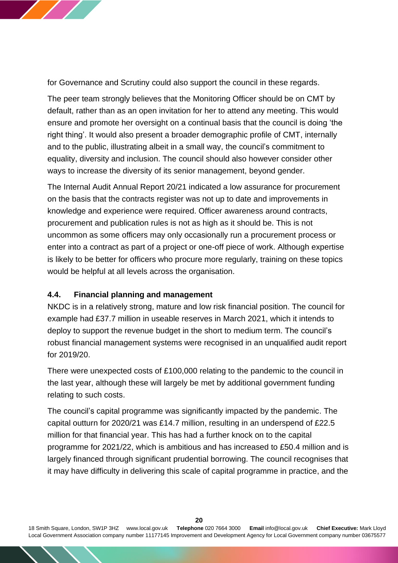

for Governance and Scrutiny could also support the council in these regards.

The peer team strongly believes that the Monitoring Officer should be on CMT by default, rather than as an open invitation for her to attend any meeting. This would ensure and promote her oversight on a continual basis that the council is doing 'the right thing'. It would also present a broader demographic profile of CMT, internally and to the public, illustrating albeit in a small way, the council's commitment to equality, diversity and inclusion. The council should also however consider other ways to increase the diversity of its senior management, beyond gender.

The Internal Audit Annual Report 20/21 indicated a low assurance for procurement on the basis that the contracts register was not up to date and improvements in knowledge and experience were required. Officer awareness around contracts, procurement and publication rules is not as high as it should be. This is not uncommon as some officers may only occasionally run a procurement process or enter into a contract as part of a project or one-off piece of work. Although expertise is likely to be better for officers who procure more regularly, training on these topics would be helpful at all levels across the organisation.

## **4.4. Financial planning and management**

NKDC is in a relatively strong, mature and low risk financial position. The council for example had £37.7 million in useable reserves in March 2021, which it intends to deploy to support the revenue budget in the short to medium term. The council's robust financial management systems were recognised in an unqualified audit report for 2019/20.

There were unexpected costs of £100,000 relating to the pandemic to the council in the last year, although these will largely be met by additional government funding relating to such costs.

The council's capital programme was significantly impacted by the pandemic. The capital outturn for 2020/21 was £14.7 million, resulting in an underspend of £22.5 million for that financial year. This has had a further knock on to the capital programme for 2021/22, which is ambitious and has increased to £50.4 million and is largely financed through significant prudential borrowing. The council recognises that it may have difficulty in delivering this scale of capital programme in practice, and the

18 Smith Square, London, SW1P 3HZ [www.local.gov.uk](http://www.local.gov.uk/) **Telephone** 020 7664 3000 **Email** [info@local.gov.uk](mailto:info@local.gov.uk) **Chief Executive:** Mark Lloyd Local Government Association company number 11177145 Improvement and Development Agency for Local Government company number 03675577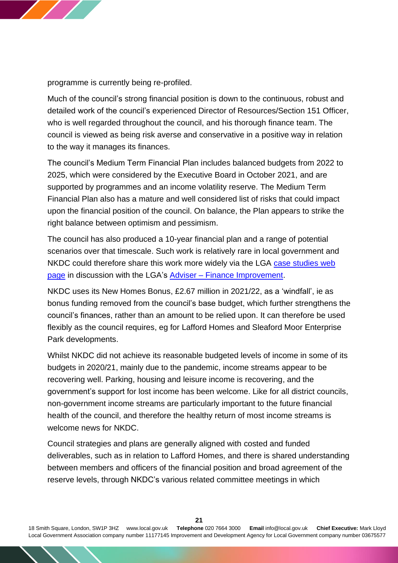

programme is currently being re-profiled.

Much of the council's strong financial position is down to the continuous, robust and detailed work of the council's experienced Director of Resources/Section 151 Officer, who is well regarded throughout the council, and his thorough finance team. The council is viewed as being risk averse and conservative in a positive way in relation to the way it manages its finances.

The council's Medium Term Financial Plan includes balanced budgets from 2022 to 2025, which were considered by the Executive Board in October 2021, and are supported by programmes and an income volatility reserve. The Medium Term Financial Plan also has a mature and well considered list of risks that could impact upon the financial position of the council. On balance, the Plan appears to strike the right balance between optimism and pessimism.

The council has also produced a 10-year financial plan and a range of potential scenarios over that timescale. Such work is relatively rare in local government and NKDC could therefore share this work more widely via the LGA case studies web [page](https://www.local.gov.uk/case-studies) in discussion with the LGA's Adviser – [Finance Improvement.](mailto:olayinka.animashaun@local.gov.uk)

NKDC uses its New Homes Bonus, £2.67 million in 2021/22, as a 'windfall', ie as bonus funding removed from the council's base budget, which further strengthens the council's finances, rather than an amount to be relied upon. It can therefore be used flexibly as the council requires, eg for Lafford Homes and Sleaford Moor Enterprise Park developments.

Whilst NKDC did not achieve its reasonable budgeted levels of income in some of its budgets in 2020/21, mainly due to the pandemic, income streams appear to be recovering well. Parking, housing and leisure income is recovering, and the government's support for lost income has been welcome. Like for all district councils, non-government income streams are particularly important to the future financial health of the council, and therefore the healthy return of most income streams is welcome news for NKDC.

Council strategies and plans are generally aligned with costed and funded deliverables, such as in relation to Lafford Homes, and there is shared understanding between members and officers of the financial position and broad agreement of the reserve levels, through NKDC's various related committee meetings in which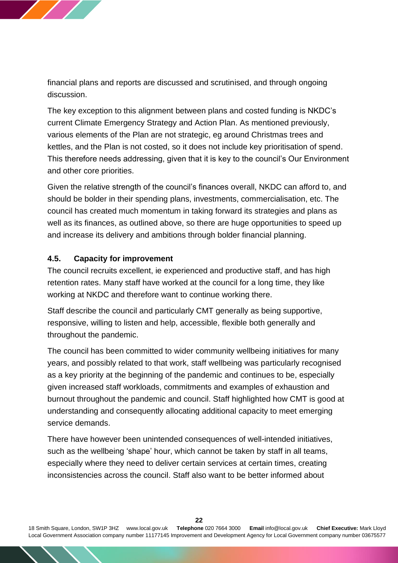financial plans and reports are discussed and scrutinised, and through ongoing discussion.

The key exception to this alignment between plans and costed funding is NKDC's current Climate Emergency Strategy and Action Plan. As mentioned previously, various elements of the Plan are not strategic, eg around Christmas trees and kettles, and the Plan is not costed, so it does not include key prioritisation of spend. This therefore needs addressing, given that it is key to the council's Our Environment and other core priorities.

Given the relative strength of the council's finances overall, NKDC can afford to, and should be bolder in their spending plans, investments, commercialisation, etc. The council has created much momentum in taking forward its strategies and plans as well as its finances, as outlined above, so there are huge opportunities to speed up and increase its delivery and ambitions through bolder financial planning.

#### **4.5. Capacity for improvement**

The council recruits excellent, ie experienced and productive staff, and has high retention rates. Many staff have worked at the council for a long time, they like working at NKDC and therefore want to continue working there.

Staff describe the council and particularly CMT generally as being supportive, responsive, willing to listen and help, accessible, flexible both generally and throughout the pandemic.

The council has been committed to wider community wellbeing initiatives for many years, and possibly related to that work, staff wellbeing was particularly recognised as a key priority at the beginning of the pandemic and continues to be, especially given increased staff workloads, commitments and examples of exhaustion and burnout throughout the pandemic and council. Staff highlighted how CMT is good at understanding and consequently allocating additional capacity to meet emerging service demands.

There have however been unintended consequences of well-intended initiatives, such as the wellbeing 'shape' hour, which cannot be taken by staff in all teams, especially where they need to deliver certain services at certain times, creating inconsistencies across the council. Staff also want to be better informed about